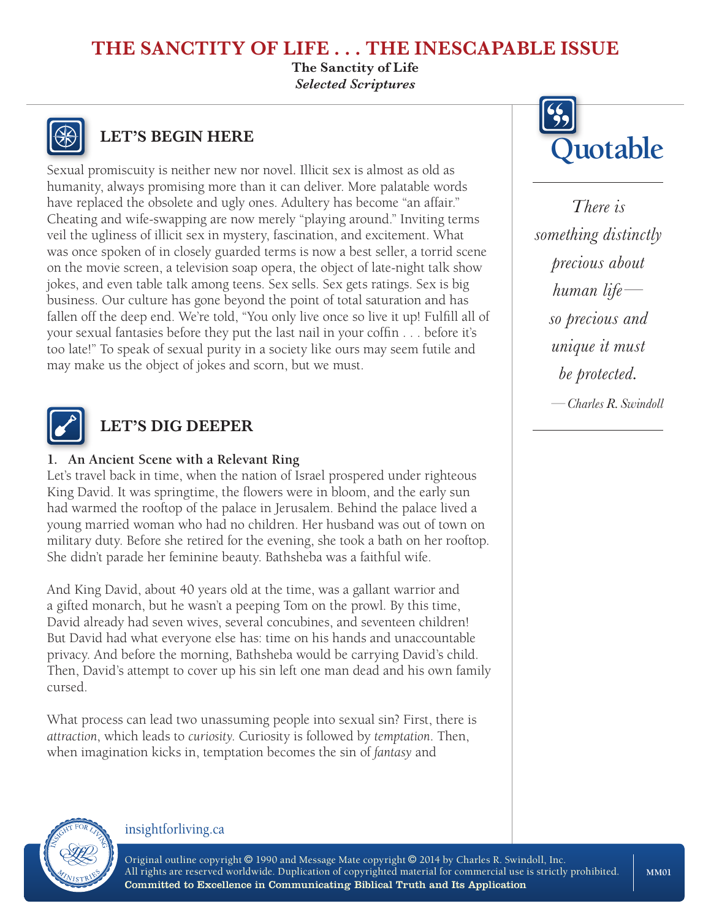# **THE SANCTITY OF LIFE . . . THE INESCAPABLE ISSUE**

**The Sanctity of Life** *Selected Scriptures*



Sexual promiscuity is neither new nor novel. Illicit sex is almost as old as humanity, always promising more than it can deliver. More palatable words have replaced the obsolete and ugly ones. Adultery has become "an affair." Cheating and wife-swapping are now merely "playing around." Inviting terms veil the ugliness of illicit sex in mystery, fascination, and excitement. What was once spoken of in closely guarded terms is now a best seller, a torrid scene on the movie screen, a television soap opera, the object of late-night talk show jokes, and even table talk among teens. Sex sells. Sex gets ratings. Sex is big business. Our culture has gone beyond the point of total saturation and has fallen off the deep end. We're told, "You only live once so live it up! Fulfill all of your sexual fantasies before they put the last nail in your coffin . . . before it's too late!" To speak of sexual purity in a society like ours may seem futile and may make us the object of jokes and scorn, but we must.



### **LET'S DIG DEEPER**

### **1. An Ancient Scene with a Relevant Ring**

Let's travel back in time, when the nation of Israel prospered under righteous King David. It was springtime, the flowers were in bloom, and the early sun had warmed the rooftop of the palace in Jerusalem. Behind the palace lived a young married woman who had no children. Her husband was out of town on military duty. Before she retired for the evening, she took a bath on her rooftop. She didn't parade her feminine beauty. Bathsheba was a faithful wife.

And King David, about 40 years old at the time, was a gallant warrior and a gifted monarch, but he wasn't a peeping Tom on the prowl. By this time, David already had seven wives, several concubines, and seventeen children! But David had what everyone else has: time on his hands and unaccountable privacy. And before the morning, Bathsheba would be carrying David's child. Then, David's attempt to cover up his sin left one man dead and his own family cursed.

What process can lead two unassuming people into sexual sin? First, there is *attraction*, which leads to *curiosity*. Curiosity is followed by *temptation*. Then, when imagination kicks in, temptation becomes the sin of *fantasy* and



*There is something distinctly precious about human life so precious and unique it must be protected. —Charles R. Swindoll*



#### insightforliving.ca

Original outline copyright © 1990 and Message Mate copyright © 2014 by Charles R. Swindoll, Inc. All rights are reserved worldwide. Duplication of copyrighted material for commercial use is strictly prohibited. Committed to Excellence in Communicating Biblical Truth and Its Application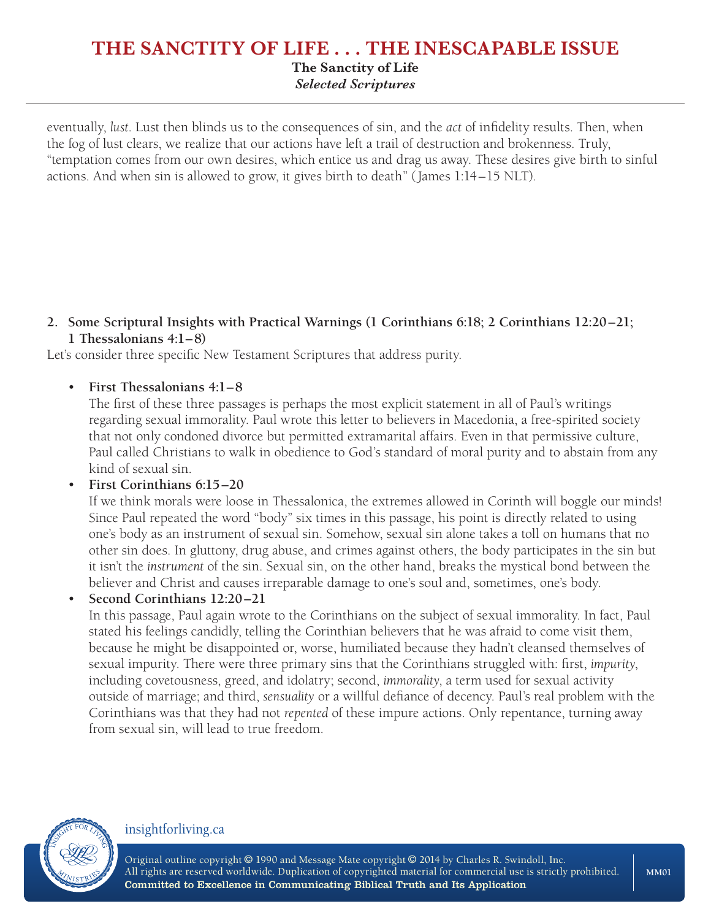### **THE SANCTITY OF LIFE . . . THE INESCAPABLE ISSUE The Sanctity of Life** *Selected Scriptures*

eventually, *lust*. Lust then blinds us to the consequences of sin, and the *act* of infidelity results. Then, when the fog of lust clears, we realize that our actions have left a trail of destruction and brokenness. Truly, "temptation comes from our own desires, which entice us and drag us away. These desires give birth to sinful actions. And when sin is allowed to grow, it gives birth to death" (James 1:14–15 NLT).

#### **2. Some Scriptural Insights with Practical Warnings (1 Corinthians 6:18; 2 Corinthians 12:20–21; 1 Thessalonians 4:1–8)**

Let's consider three specific New Testament Scriptures that address purity.

### • **First Thessalonians 4:1–8**

The first of these three passages is perhaps the most explicit statement in all of Paul's writings regarding sexual immorality. Paul wrote this letter to believers in Macedonia, a free-spirited society that not only condoned divorce but permitted extramarital affairs. Even in that permissive culture, Paul called Christians to walk in obedience to God's standard of moral purity and to abstain from any kind of sexual sin.

#### • **First Corinthians 6:15–20**

If we think morals were loose in Thessalonica, the extremes allowed in Corinth will boggle our minds! Since Paul repeated the word "body" six times in this passage, his point is directly related to using one's body as an instrument of sexual sin. Somehow, sexual sin alone takes a toll on humans that no other sin does. In gluttony, drug abuse, and crimes against others, the body participates in the sin but it isn't the *instrument* of the sin. Sexual sin, on the other hand, breaks the mystical bond between the believer and Christ and causes irreparable damage to one's soul and, sometimes, one's body.

• **Second Corinthians 12:20–21** 

In this passage, Paul again wrote to the Corinthians on the subject of sexual immorality. In fact, Paul stated his feelings candidly, telling the Corinthian believers that he was afraid to come visit them, because he might be disappointed or, worse, humiliated because they hadn't cleansed themselves of sexual impurity. There were three primary sins that the Corinthians struggled with: first, *impurity*, including covetousness, greed, and idolatry; second, *immorality*, a term used for sexual activity outside of marriage; and third, *sensuality* or a willful defiance of decency. Paul's real problem with the Corinthians was that they had not *repented* of these impure actions. Only repentance, turning away from sexual sin, will lead to true freedom.



#### insightforliving.ca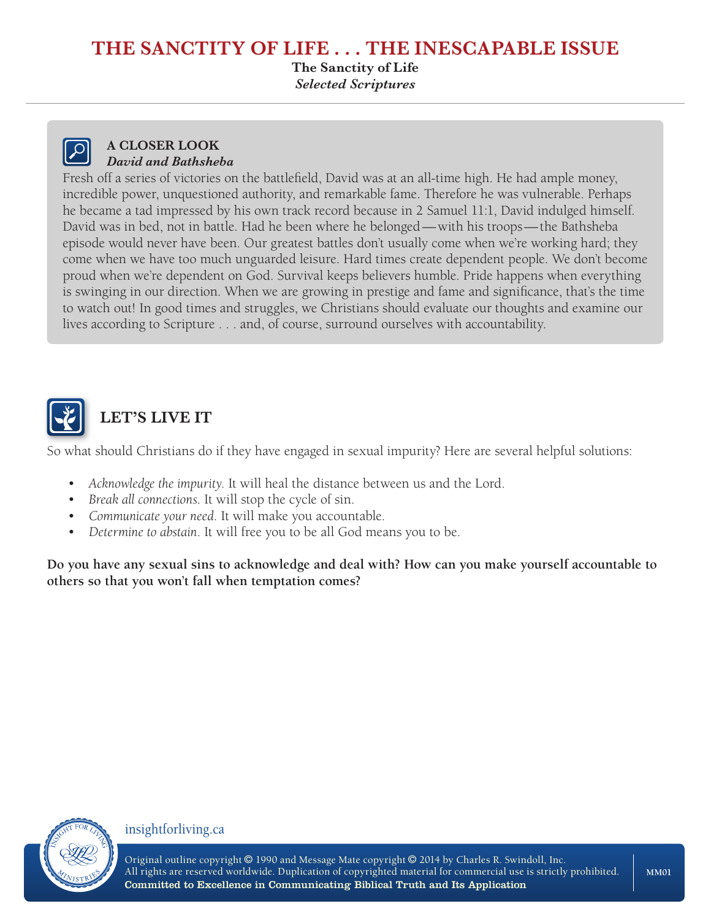### **THE SANCTITY OF LIFE . . . THE INESCAPABLE ISSUE**

**The Sanctity of Life** *Selected Scriptures*



#### **A CLOSER LOOK** *David and Bathsheba*

Fresh off a series of victories on the battlefield, David was at an all-time high. He had ample money, incredible power, unquestioned authority, and remarkable fame. Therefore he was vulnerable. Perhaps he became a tad impressed by his own track record because in 2 Samuel 11:1, David indulged himself. David was in bed, not in battle. Had he been where he belonged—with his troops—the Bathsheba episode would never have been. Our greatest battles don't usually come when we're working hard; they come when we have too much unguarded leisure. Hard times create dependent people. We don't become proud when we're dependent on God. Survival keeps believers humble. Pride happens when everything is swinging in our direction. When we are growing in prestige and fame and significance, that's the time to watch out! In good times and struggles, we Christians should evaluate our thoughts and examine our lives according to Scripture . . . and, of course, surround ourselves with accountability.



# **LET'S LIVE IT**

So what should Christians do if they have engaged in sexual impurity? Here are several helpful solutions:

- *Acknowledge the impurity*. It will heal the distance between us and the Lord.
- *Break all connections*. It will stop the cycle of sin.
- *Communicate your need*. It will make you accountable.
- *Determine to abstain*. It will free you to be all God means you to be.

**Do you have any sexual sins to acknowledge and deal with? How can you make yourself accountable to others so that you won't fall when temptation comes?**



#### insightforliving.ca